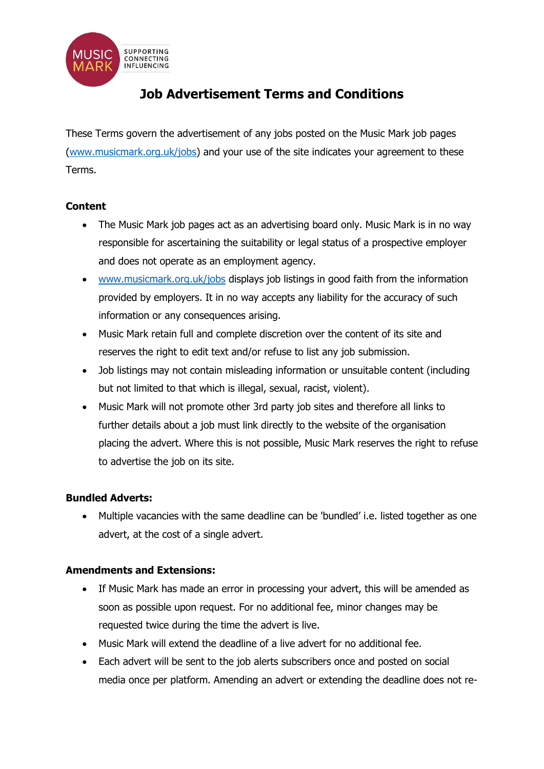

# **Job Advertisement Terms and Conditions**

These Terms govern the advertisement of any jobs posted on the Music Mark job pages [\(www.musicmark.org.uk/jobs\)](http://www.musicmark.org.uk/jobs) and your use of the site indicates your agreement to these Terms.

## **Content**

- The Music Mark job pages act as an advertising board only. Music Mark is in no way responsible for ascertaining the suitability or legal status of a prospective employer and does not operate as an employment agency.
- [www.musicmark.org.uk/jobs](http://www.musicmark.org.uk/jobs) displays job listings in good faith from the information provided by employers. It in no way accepts any liability for the accuracy of such information or any consequences arising.
- Music Mark retain full and complete discretion over the content of its site and reserves the right to edit text and/or refuse to list any job submission.
- Job listings may not contain misleading information or unsuitable content (including but not limited to that which is illegal, sexual, racist, violent).
- Music Mark will not promote other 3rd party job sites and therefore all links to further details about a job must link directly to the website of the organisation placing the advert. Where this is not possible, Music Mark reserves the right to refuse to advertise the job on its site.

## **Bundled Adverts:**

• Multiple vacancies with the same deadline can be 'bundled' i.e. listed together as one advert, at the cost of a single advert.

## **Amendments and Extensions:**

- If Music Mark has made an error in processing your advert, this will be amended as soon as possible upon request. For no additional fee, minor changes may be requested twice during the time the advert is live.
- Music Mark will extend the deadline of a live advert for no additional fee.
- Each advert will be sent to the job alerts subscribers once and posted on social media once per platform. Amending an advert or extending the deadline does not re-